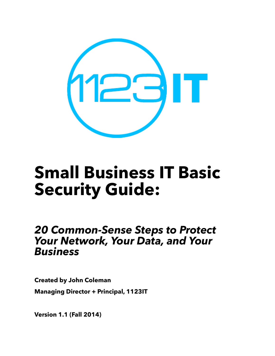

## **Small Business IT Basic Security Guide:**

## *20 Common-Sense Steps to Protect Your Network, Your Data, and Your Business*

**Created by John Coleman Managing Director + Principal, 1123IT**

**Version 1.1 (Fall 2014)**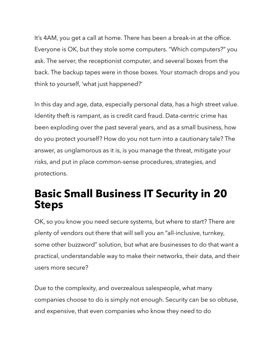It's 4AM, you get a call at home. There has been a break-in at the office. Everyone is OK, but they stole some computers. "Which computers?" you ask. The server, the receptionist computer, and several boxes from the back. The backup tapes were in those boxes. Your stomach drops and you think to yourself, 'what just happened?'

In this day and age, data, especially personal data, has a high street value. Identity theft is rampant, as is credit card fraud. Data-centric crime has been exploding over the past several years, and as a small business, how do you protect yourself? How do you not turn into a cautionary tale? The answer, as unglamorous as it is, is you manage the threat, mitigate your risks, and put in place common-sense procedures, strategies, and protections.

## **Basic Small Business IT Security in 20 Steps**

OK, so you know you need secure systems, but where to start? There are plenty of vendors out there that will sell you an "all-inclusive, turnkey, some other buzzword" solution, but what are businesses to do that want a practical, understandable way to make their networks, their data, and their users more secure?

Due to the complexity, and overzealous salespeople, what many companies choose to do is simply not enough. Security can be so obtuse, and expensive, that even companies who know they need to do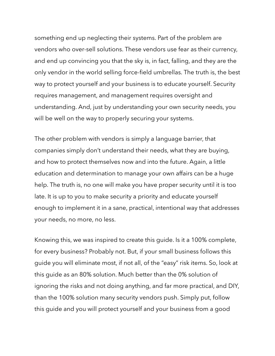something end up neglecting their systems. Part of the problem are vendors who over-sell solutions. These vendors use fear as their currency, and end up convincing you that the sky is, in fact, falling, and they are the only vendor in the world selling force-field umbrellas. The truth is, the best way to protect yourself and your business is to educate yourself. Security requires management, and management requires oversight and understanding. And, just by understanding your own security needs, you will be well on the way to properly securing your systems.

The other problem with vendors is simply a language barrier, that companies simply don't understand their needs, what they are buying, and how to protect themselves now and into the future. Again, a little education and determination to manage your own affairs can be a huge help. The truth is, no one will make you have proper security until it is too late. It is up to you to make security a priority and educate yourself enough to implement it in a sane, practical, intentional way that addresses your needs, no more, no less.

Knowing this, we was inspired to create this guide. Is it a 100% complete, for every business? Probably not. But, if your small business follows this guide you will eliminate most, if not all, of the "easy" risk items. So, look at this guide as an 80% solution. Much better than the 0% solution of ignoring the risks and not doing anything, and far more practical, and DIY, than the 100% solution many security vendors push. Simply put, follow this guide and you will protect yourself and your business from a good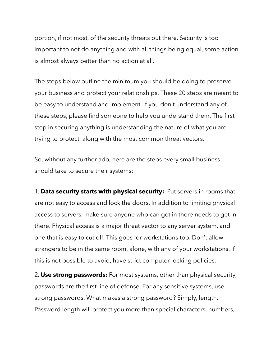portion, if not most, of the security threats out there. Security is too important to not do anything and with all things being equal, some action is almost always better than no action at all.

The steps below outline the minimum you should be doing to preserve your business and protect your relationships. These 20 steps are meant to be easy to understand and implement. If you don't understand any of these steps, please find someone to help you understand them. The first step in securing anything is understanding the nature of what you are trying to protect, along with the most common threat vectors.

So, without any further ado, here are the steps every small business should take to secure their systems:

1. **Data security starts with physical security:**. Put servers in rooms that are not easy to access and lock the doors. In addition to limiting physical access to servers, make sure anyone who can get in there needs to get in there. Physical access is a major threat vector to any server system, and one that is easy to cut off. This goes for workstations too. Don't allow strangers to be in the same room, alone, with any of your workstations. If this is not possible to avoid, have strict computer locking policies.

2. **Use strong passwords:** For most systems, other than physical security, passwords are the first line of defense. For any sensitive systems, use strong passwords. What makes a strong password? Simply, length. Password length will protect you more than special characters, numbers,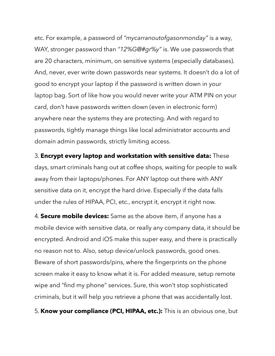etc. For example, a password of *"mycarranoutofgasonmonday"* is a way, WAY, stronger password than *"12%G@#gr%y"* is. We use passwords that are 20 characters, minimum, on sensitive systems (especially databases). And, never, ever write down passwords near systems. It doesn't do a lot of good to encrypt your laptop if the password is written down in your laptop bag. Sort of like how you would never write your ATM PIN on your card, don't have passwords written down (even in electronic form) anywhere near the systems they are protecting. And with regard to passwords, tightly manage things like local administrator accounts and domain admin passwords, strictly limiting access.

3. **Encrypt every laptop and workstation with sensitive data:** These days, smart criminals hang out at coffee shops, waiting for people to walk away from their laptops/phones. For ANY laptop out there with ANY sensitive data on it, encrypt the hard drive. Especially if the data falls under the rules of HIPAA, PCI, etc., encrypt it, encrypt it right now.

4. **Secure mobile devices:** Same as the above item, if anyone has a mobile device with sensitive data, or really any company data, it should be encrypted. Android and iOS make this super easy, and there is practically no reason not to. Also, setup device/unlock passwords, good ones. Beware of short passwords/pins, where the fingerprints on the phone screen make it easy to know what it is. For added measure, setup remote wipe and "find my phone" services. Sure, this won't stop sophisticated criminals, but it will help you retrieve a phone that was accidentally lost.

5. **Know your compliance (PCI, HIPAA, etc.):** This is an obvious one, but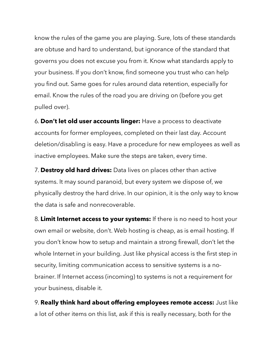know the rules of the game you are playing. Sure, lots of these standards are obtuse and hard to understand, but ignorance of the standard that governs you does not excuse you from it. Know what standards apply to your business. If you don't know, find someone you trust who can help you find out. Same goes for rules around data retention, especially for email. Know the rules of the road you are driving on (before you get pulled over).

6. **Don't let old user accounts linger:** Have a process to deactivate accounts for former employees, completed on their last day. Account deletion/disabling is easy. Have a procedure for new employees as well as inactive employees. Make sure the steps are taken, every time.

7. **Destroy old hard drives:** Data lives on places other than active systems. It may sound paranoid, but every system we dispose of, we physically destroy the hard drive. In our opinion, it is the only way to know the data is safe and nonrecoverable.

8. **Limit Internet access to your systems:** If there is no need to host your own email or website, don't. Web hosting is cheap, as is email hosting. If you don't know how to setup and maintain a strong firewall, don't let the whole Internet in your building. Just like physical access is the first step in security, limiting communication access to sensitive systems is a nobrainer. If Internet access (incoming) to systems is not a requirement for your business, disable it.

9. **Really think hard about offering employees remote access:** Just like a lot of other items on this list, ask if this is really necessary, both for the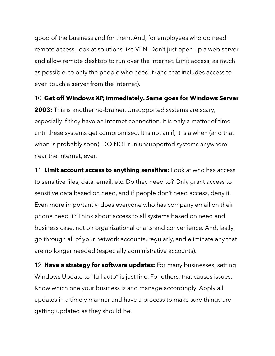good of the business and for them. And, for employees who do need remote access, look at solutions like VPN. Don't just open up a web server and allow remote desktop to run over the Internet. Limit access, as much as possible, to only the people who need it (and that includes access to even touch a server from the Internet).

10. **Get off Windows XP, immediately. Same goes for Windows Server 2003:** This is another no-brainer. Unsupported systems are scary, especially if they have an Internet connection. It is only a matter of time until these systems get compromised. It is not an if, it is a when (and that when is probably soon). DO NOT run unsupported systems anywhere near the Internet, ever.

11. **Limit account access to anything sensitive:** Look at who has access to sensitive files, data, email, etc. Do they need to? Only grant access to sensitive data based on need, and if people don't need access, deny it. Even more importantly, does everyone who has company email on their phone need it? Think about access to all systems based on need and business case, not on organizational charts and convenience. And, lastly, go through all of your network accounts, regularly, and eliminate any that are no longer needed (especially administrative accounts).

12. **Have a strategy for software updates:** For many businesses, setting Windows Update to "full auto" is just fine. For others, that causes issues. Know which one your business is and manage accordingly. Apply all updates in a timely manner and have a process to make sure things are getting updated as they should be.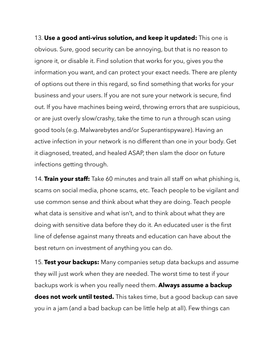13. **Use a good anti-virus solution, and keep it updated:** This one is obvious. Sure, good security can be annoying, but that is no reason to ignore it, or disable it. Find solution that works for you, gives you the information you want, and can protect your exact needs. There are plenty of options out there in this regard, so find something that works for your business and your users. If you are not sure your network is secure, find out. If you have machines being weird, throwing errors that are suspicious, or are just overly slow/crashy, take the time to run a through scan using good tools (e.g. Malwarebytes and/or Superantispyware). Having an active infection in your network is no different than one in your body. Get it diagnosed, treated, and healed ASAP, then slam the door on future infections getting through.

14. **Train your staff:** Take 60 minutes and train all staff on what phishing is, scams on social media, phone scams, etc. Teach people to be vigilant and use common sense and think about what they are doing. Teach people what data is sensitive and what isn't, and to think about what they are doing with sensitive data before they do it. An educated user is the first line of defense against many threats and education can have about the best return on investment of anything you can do.

15. **Test your backups:** Many companies setup data backups and assume they will just work when they are needed. The worst time to test if your backups work is when you really need them. **Always assume a backup does not work until tested.** This takes time, but a good backup can save you in a jam (and a bad backup can be little help at all). Few things can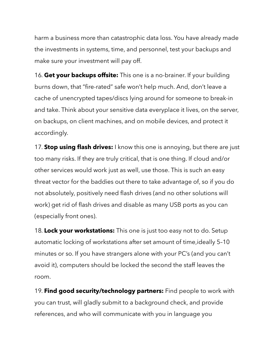harm a business more than catastrophic data loss. You have already made the investments in systems, time, and personnel, test your backups and make sure your investment will pay off.

16. **Get your backups offsite:** This one is a no-brainer. If your building burns down, that "fire-rated" safe won't help much. And, don't leave a cache of unencrypted tapes/discs lying around for someone to break-in and take. Think about your sensitive data everyplace it lives, on the server, on backups, on client machines, and on mobile devices, and protect it accordingly.

17. **Stop using flash drives:** I know this one is annoying, but there are just too many risks. If they are truly critical, that is one thing. If cloud and/or other services would work just as well, use those. This is such an easy threat vector for the baddies out there to take advantage of, so if you do not absolutely, positively need flash drives (and no other solutions will work) get rid of flash drives and disable as many USB ports as you can (especially front ones).

18. **Lock your workstations:** This one is just too easy not to do. Setup automatic locking of workstations after set amount of time,ideally 5–10 minutes or so. If you have strangers alone with your PC's (and you can't avoid it), computers should be locked the second the staff leaves the room.

19. **Find good security/technology partners:** Find people to work with you can trust, will gladly submit to a background check, and provide references, and who will communicate with you in language you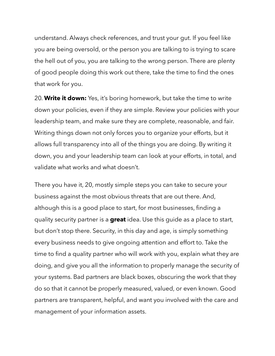understand. Always check references, and trust your gut. If you feel like you are being oversold, or the person you are talking to is trying to scare the hell out of you, you are talking to the wrong person. There are plenty of good people doing this work out there, take the time to find the ones that work for you.

20. **Write it down:** Yes, it's boring homework, but take the time to write down your policies, even if they are simple. Review your policies with your leadership team, and make sure they are complete, reasonable, and fair. Writing things down not only forces you to organize your efforts, but it allows full transparency into all of the things you are doing. By writing it down, you and your leadership team can look at your efforts, in total, and validate what works and what doesn't.

There you have it, 20, mostly simple steps you can take to secure your business against the most obvious threats that are out there. And, although this is a good place to start, for most businesses, finding a quality security partner is a **great** idea. Use this guide as a place to start, but don't stop there. Security, in this day and age, is simply something every business needs to give ongoing attention and effort to. Take the time to find a quality partner who will work with you, explain what they are doing, and give you all the information to properly manage the security of your systems. Bad partners are black boxes, obscuring the work that they do so that it cannot be properly measured, valued, or even known. Good partners are transparent, helpful, and want you involved with the care and management of your information assets.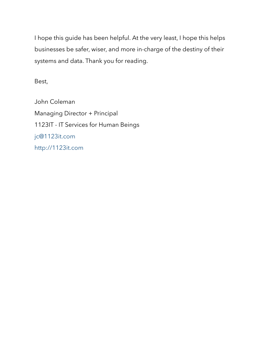I hope this guide has been helpful. At the very least, I hope this helps businesses be safer, wiser, and more in-charge of the destiny of their systems and data. Thank you for reading.

Best,

John Coleman Managing Director + Principal 1123IT - IT Services for Human Beings [jc@1123it.com](mailto:jc@1123it.com) [http://1123it.com](http://1123it.com/)